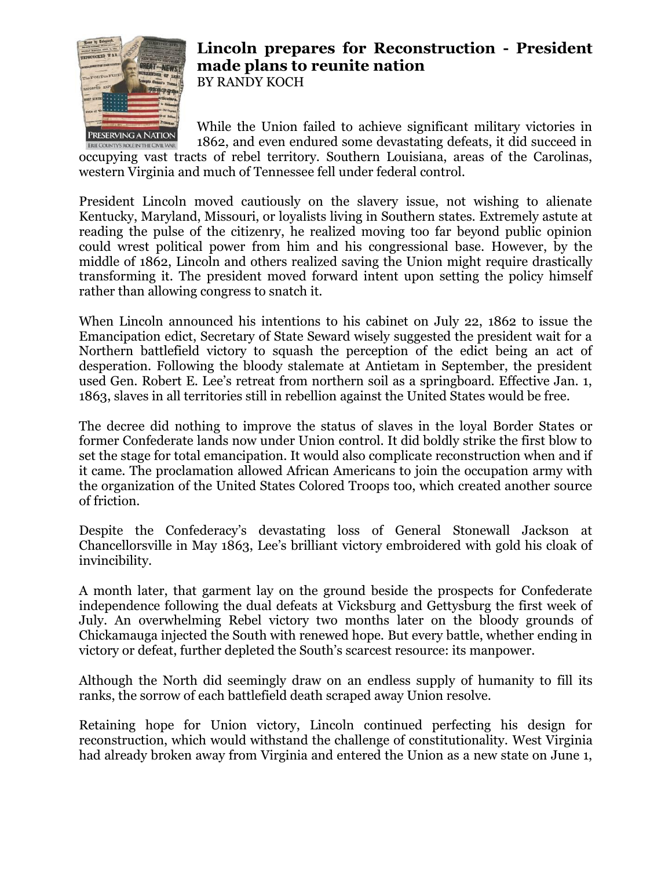

## **Lincoln prepares for Reconstruction - President made plans to reunite nation** BY RANDY KOCH

While the Union failed to achieve significant military victories in 1862, and even endured some devastating defeats, it did succeed in

occupying vast tracts of rebel territory. Southern Louisiana, areas of the Carolinas, western Virginia and much of Tennessee fell under federal control.

President Lincoln moved cautiously on the slavery issue, not wishing to alienate Kentucky, Maryland, Missouri, or loyalists living in Southern states. Extremely astute at reading the pulse of the citizenry, he realized moving too far beyond public opinion could wrest political power from him and his congressional base. However, by the middle of 1862, Lincoln and others realized saving the Union might require drastically transforming it. The president moved forward intent upon setting the policy himself rather than allowing congress to snatch it.

When Lincoln announced his intentions to his cabinet on July 22, 1862 to issue the Emancipation edict, Secretary of State Seward wisely suggested the president wait for a Northern battlefield victory to squash the perception of the edict being an act of desperation. Following the bloody stalemate at Antietam in September, the president used Gen. Robert E. Lee's retreat from northern soil as a springboard. Effective Jan. 1, 1863, slaves in all territories still in rebellion against the United States would be free.

The decree did nothing to improve the status of slaves in the loyal Border States or former Confederate lands now under Union control. It did boldly strike the first blow to set the stage for total emancipation. It would also complicate reconstruction when and if it came. The proclamation allowed African Americans to join the occupation army with the organization of the United States Colored Troops too, which created another source of friction.

Despite the Confederacy's devastating loss of General Stonewall Jackson at Chancellorsville in May 1863, Lee's brilliant victory embroidered with gold his cloak of invincibility.

A month later, that garment lay on the ground beside the prospects for Confederate independence following the dual defeats at Vicksburg and Gettysburg the first week of July. An overwhelming Rebel victory two months later on the bloody grounds of Chickamauga injected the South with renewed hope. But every battle, whether ending in victory or defeat, further depleted the South's scarcest resource: its manpower.

Although the North did seemingly draw on an endless supply of humanity to fill its ranks, the sorrow of each battlefield death scraped away Union resolve.

Retaining hope for Union victory, Lincoln continued perfecting his design for reconstruction, which would withstand the challenge of constitutionality. West Virginia had already broken away from Virginia and entered the Union as a new state on June 1,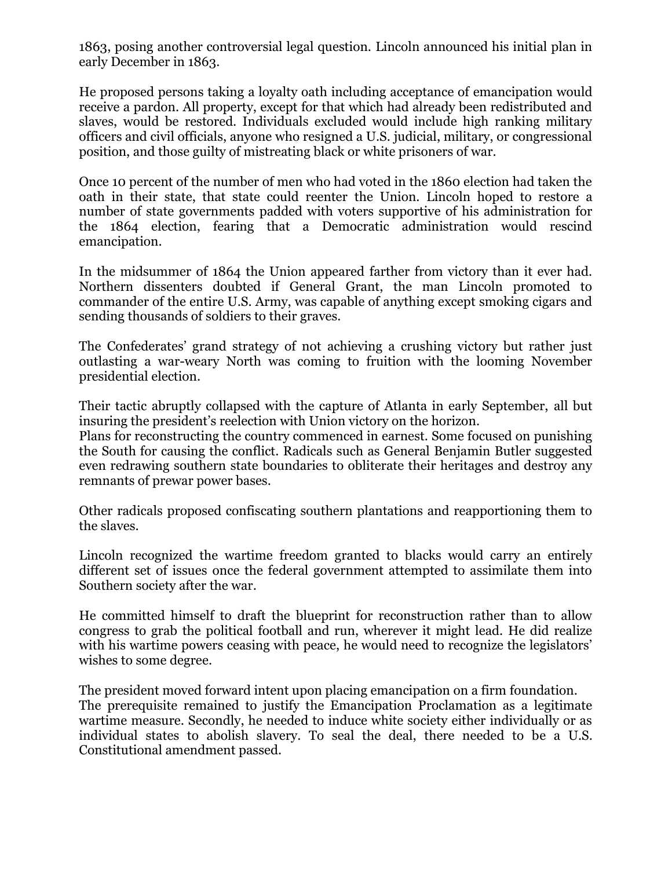1863, posing another controversial legal question. Lincoln announced his initial plan in early December in 1863.

He proposed persons taking a loyalty oath including acceptance of emancipation would receive a pardon. All property, except for that which had already been redistributed and slaves, would be restored. Individuals excluded would include high ranking military officers and civil officials, anyone who resigned a U.S. judicial, military, or congressional position, and those guilty of mistreating black or white prisoners of war.

Once 10 percent of the number of men who had voted in the 1860 election had taken the oath in their state, that state could reenter the Union. Lincoln hoped to restore a number of state governments padded with voters supportive of his administration for the 1864 election, fearing that a Democratic administration would rescind emancipation.

In the midsummer of 1864 the Union appeared farther from victory than it ever had. Northern dissenters doubted if General Grant, the man Lincoln promoted to commander of the entire U.S. Army, was capable of anything except smoking cigars and sending thousands of soldiers to their graves.

The Confederates' grand strategy of not achieving a crushing victory but rather just outlasting a war-weary North was coming to fruition with the looming November presidential election.

Their tactic abruptly collapsed with the capture of Atlanta in early September, all but insuring the president's reelection with Union victory on the horizon.

Plans for reconstructing the country commenced in earnest. Some focused on punishing the South for causing the conflict. Radicals such as General Benjamin Butler suggested even redrawing southern state boundaries to obliterate their heritages and destroy any remnants of prewar power bases.

Other radicals proposed confiscating southern plantations and reapportioning them to the slaves.

Lincoln recognized the wartime freedom granted to blacks would carry an entirely different set of issues once the federal government attempted to assimilate them into Southern society after the war.

He committed himself to draft the blueprint for reconstruction rather than to allow congress to grab the political football and run, wherever it might lead. He did realize with his wartime powers ceasing with peace, he would need to recognize the legislators' wishes to some degree.

The president moved forward intent upon placing emancipation on a firm foundation. The prerequisite remained to justify the Emancipation Proclamation as a legitimate wartime measure. Secondly, he needed to induce white society either individually or as individual states to abolish slavery. To seal the deal, there needed to be a U.S. Constitutional amendment passed.